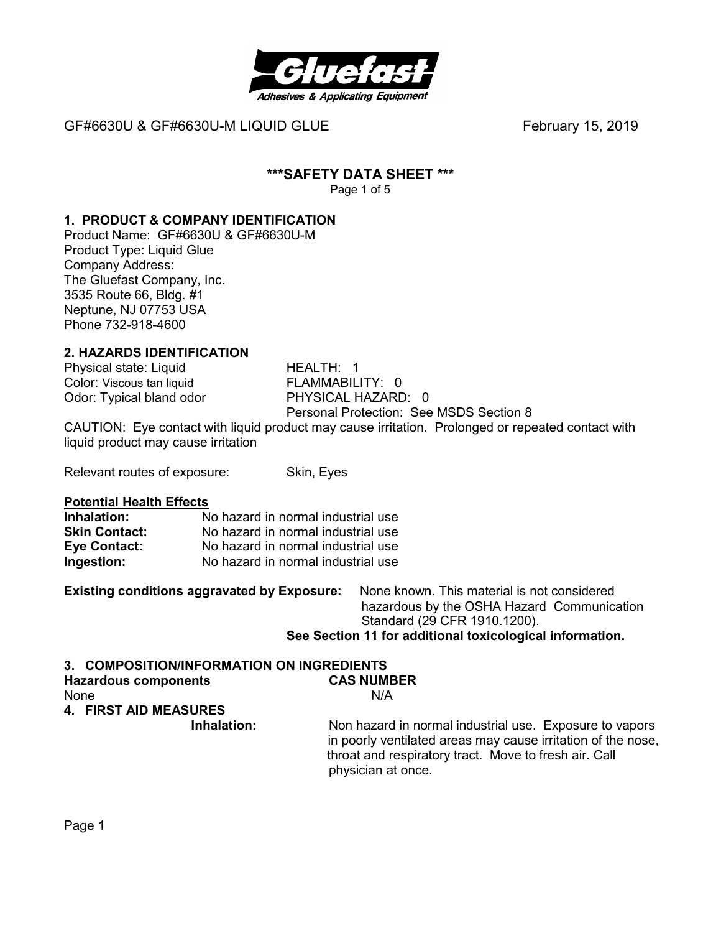

# **\*\*\*SAFETY DATA SHEET \*\*\***

Page 1 of 5

# **1. PRODUCT & COMPANY IDENTIFICATION**

Product Name: GF#6630U & GF#6630U-M Product Type: Liquid Glue Company Address: The Gluefast Company, Inc. 3535 Route 66, Bldg. #1 Neptune, NJ 07753 USA Phone 732-918-4600

# **2. HAZARDS IDENTIFICATION**

Physical state: Liquid HEALTH: 1 Odor: Typical bland odor

Color: Viscous tan liquid<br>
Odor: Tvpical bland odor
Burg PHYSICAL HAZARD: 0 Personal Protection: See MSDS Section 8

CAUTION: Eye contact with liquid product may cause irritation. Prolonged or repeated contact with liquid product may cause irritation

Relevant routes of exposure: Skin, Eyes

#### **Potential Health Effects**

| Inhalation:          | No hazard in normal industrial use |
|----------------------|------------------------------------|
| <b>Skin Contact:</b> | No hazard in normal industrial use |
| Eye Contact:         | No hazard in normal industrial use |
| Ingestion:           | No hazard in normal industrial use |

**Existing conditions aggravated by Exposure:** None known. This material is not considered hazardous by the OSHA Hazard Communication Standard (29 CFR 1910.1200). **See Section 11 for additional toxicological information.** 

#### **3. COMPOSITION/INFORMATION ON INGREDIENTS**

| <b>Hazardous components</b>  | <b>CAS NUMBER</b>                                                                                                                                                                                      |
|------------------------------|--------------------------------------------------------------------------------------------------------------------------------------------------------------------------------------------------------|
| None                         | N/A                                                                                                                                                                                                    |
| <b>4. FIRST AID MEASURES</b> |                                                                                                                                                                                                        |
| Inhalation:                  | Non hazard in normal industrial use. Exposure to vapors<br>in poorly ventilated areas may cause irritation of the nose.<br>throat and respiratory tract. Move to fresh air. Call<br>physician at once. |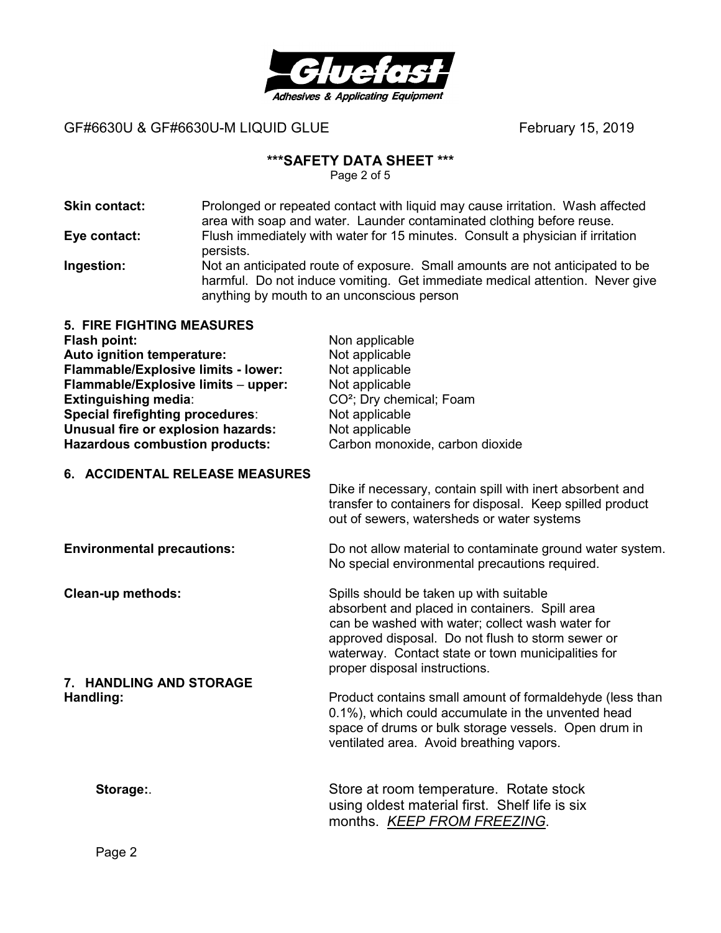

#### **\*\*\*SAFETY DATA SHEET \*\*\***

Page 2 of 5

- **Skin contact:** Prolonged or repeated contact with liquid may cause irritation.Wash affected area with soap and water. Launder contaminated clothing before reuse. **Eye contact:** Flush immediately with water for 15 minutes. Consult a physician if irritation persists. **Ingestion:** Not an anticipated route of exposure. Small amounts are not anticipated to be
	- harmful. Do not induce vomiting. Get immediate medical attention. Never give anything by mouth to an unconscious person

| <b>5. FIRE FIGHTING MEASURES</b>        |                                      |
|-----------------------------------------|--------------------------------------|
| Flash point:                            | Non applicable                       |
| Auto ignition temperature:              | Not applicable                       |
| Flammable/Explosive limits - lower:     | Not applicable                       |
| Flammable/Explosive limits - upper:     | Not applicable                       |
| <b>Extinguishing media:</b>             | CO <sup>2</sup> ; Dry chemical; Foam |
| <b>Special firefighting procedures:</b> | Not applicable                       |
| Unusual fire or explosion hazards:      | Not applicable                       |
| <b>Hazardous combustion products:</b>   | Carbon monoxide, carbon dioxide      |
|                                         |                                      |

#### **6. ACCIDENTAL RELEASE MEASURES**

Dike if necessary, contain spill with inert absorbent and transfer to containers for disposal. Keep spilled product out of sewers, watersheds or water systems

**7. HANDLING AND STORAGE** 

**Environmental precautions:** Do not allow material to contaminate ground water system. No special environmental precautions required.

**Clean-up methods:** Spills should be taken up with suitable absorbent and placed in containers. Spill area can be washed with water; collect wash water for approved disposal. Do not flush to storm sewer or waterway. Contact state or town municipalities for proper disposal instructions.

**Handling: Product contains small amount of formaldehyde (less than in Fig. 2) and Eq. 2)** 0.1%), which could accumulate in the unvented head space of drums or bulk storage vessels. Open drum in ventilated area. Avoid breathing vapors.

**Storage:**. Store at room temperature. Rotate stock using oldest material first. Shelf life is six months. *KEEP FROM FREEZING*.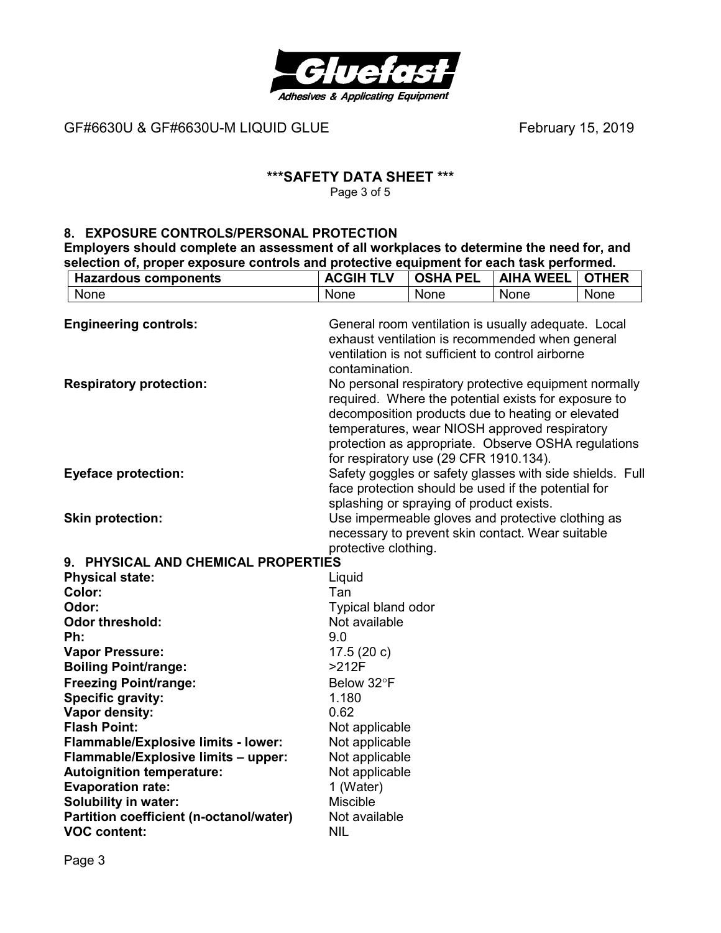

# **\*\*\*SAFETY DATA SHEET \*\*\***

Page 3 of 5

#### **8. EXPOSURE CONTROLS/PERSONAL PROTECTION**

**Employers should complete an assessment of all workplaces to determine the need for, and selection of, proper exposure controls and protective equipment for each task performed.** 

| <b>Hazardous components</b>                                    | <b>ACGIH TLV</b>                                                                                                                                                                                                                                                                                                     | <b>OSHA PEL</b>                                                                                       | <b>AIHA WEEL</b> | <b>OTHER</b> |
|----------------------------------------------------------------|----------------------------------------------------------------------------------------------------------------------------------------------------------------------------------------------------------------------------------------------------------------------------------------------------------------------|-------------------------------------------------------------------------------------------------------|------------------|--------------|
| None                                                           | None                                                                                                                                                                                                                                                                                                                 | None                                                                                                  | None             | None         |
| <b>Engineering controls:</b>                                   | General room ventilation is usually adequate. Local<br>exhaust ventilation is recommended when general<br>ventilation is not sufficient to control airborne<br>contamination.                                                                                                                                        |                                                                                                       |                  |              |
| <b>Respiratory protection:</b>                                 | No personal respiratory protective equipment normally<br>required. Where the potential exists for exposure to<br>decomposition products due to heating or elevated<br>temperatures, wear NIOSH approved respiratory<br>protection as appropriate. Observe OSHA regulations<br>for respiratory use (29 CFR 1910.134). |                                                                                                       |                  |              |
| <b>Eyeface protection:</b>                                     | Safety goggles or safety glasses with side shields. Full<br>face protection should be used if the potential for<br>splashing or spraying of product exists.                                                                                                                                                          |                                                                                                       |                  |              |
| <b>Skin protection:</b>                                        | protective clothing.                                                                                                                                                                                                                                                                                                 | Use impermeable gloves and protective clothing as<br>necessary to prevent skin contact. Wear suitable |                  |              |
| 9. PHYSICAL AND CHEMICAL PROPERTIES                            |                                                                                                                                                                                                                                                                                                                      |                                                                                                       |                  |              |
| <b>Physical state:</b>                                         | Liquid                                                                                                                                                                                                                                                                                                               |                                                                                                       |                  |              |
| Color:                                                         | Tan                                                                                                                                                                                                                                                                                                                  |                                                                                                       |                  |              |
| Odor:                                                          | Typical bland odor                                                                                                                                                                                                                                                                                                   |                                                                                                       |                  |              |
| <b>Odor threshold:</b>                                         | Not available                                                                                                                                                                                                                                                                                                        |                                                                                                       |                  |              |
| Ph:                                                            | 9.0                                                                                                                                                                                                                                                                                                                  |                                                                                                       |                  |              |
| <b>Vapor Pressure:</b>                                         | 17.5(20c)                                                                                                                                                                                                                                                                                                            |                                                                                                       |                  |              |
| <b>Boiling Point/range:</b>                                    | $>212F$                                                                                                                                                                                                                                                                                                              |                                                                                                       |                  |              |
| <b>Freezing Point/range:</b>                                   | Below 32°F                                                                                                                                                                                                                                                                                                           |                                                                                                       |                  |              |
| <b>Specific gravity:</b>                                       | 1.180                                                                                                                                                                                                                                                                                                                |                                                                                                       |                  |              |
| Vapor density:                                                 | 0.62                                                                                                                                                                                                                                                                                                                 |                                                                                                       |                  |              |
| <b>Flash Point:</b>                                            | Not applicable                                                                                                                                                                                                                                                                                                       |                                                                                                       |                  |              |
| Flammable/Explosive limits - lower:                            | Not applicable                                                                                                                                                                                                                                                                                                       |                                                                                                       |                  |              |
| Flammable/Explosive limits - upper:                            | Not applicable                                                                                                                                                                                                                                                                                                       |                                                                                                       |                  |              |
| <b>Autoignition temperature:</b>                               | Not applicable                                                                                                                                                                                                                                                                                                       |                                                                                                       |                  |              |
| <b>Evaporation rate:</b>                                       | 1 (Water)                                                                                                                                                                                                                                                                                                            |                                                                                                       |                  |              |
| <b>Solubility in water:</b>                                    | <b>Miscible</b>                                                                                                                                                                                                                                                                                                      |                                                                                                       |                  |              |
| Partition coefficient (n-octanol/water)<br><b>VOC content:</b> | Not available<br><b>NIL</b>                                                                                                                                                                                                                                                                                          |                                                                                                       |                  |              |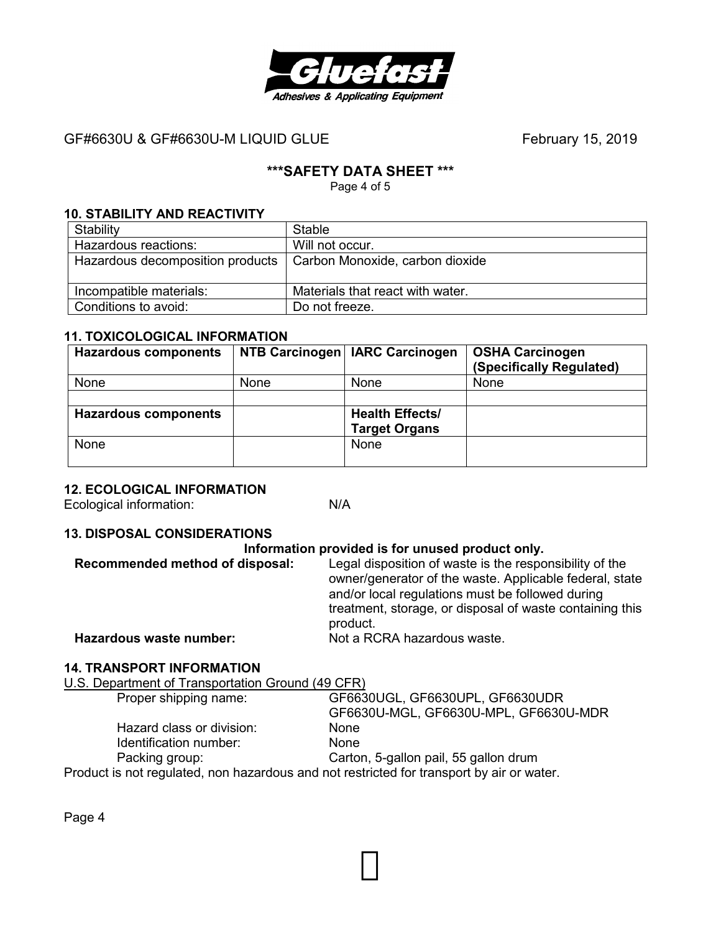

# **\*\*\*SAFETY DATA SHEET \*\*\***

Page 4 of 5

#### **10. STABILITY AND REACTIVITY**

| Stability                        | Stable                           |
|----------------------------------|----------------------------------|
| Hazardous reactions:             | Will not occur.                  |
| Hazardous decomposition products | Carbon Monoxide, carbon dioxide  |
|                                  |                                  |
| Incompatible materials:          | Materials that react with water. |
| Conditions to avoid:             | Do not freeze.                   |

#### **11. TOXICOLOGICAL INFORMATION**

| <b>Hazardous components</b> |      | NTB Carcinogen   IARC Carcinogen               | <b>OSHA Carcinogen</b><br>(Specifically Regulated) |
|-----------------------------|------|------------------------------------------------|----------------------------------------------------|
| None                        | None | <b>None</b>                                    | None                                               |
|                             |      |                                                |                                                    |
| <b>Hazardous components</b> |      | <b>Health Effects/</b><br><b>Target Organs</b> |                                                    |
| None                        |      | None                                           |                                                    |

#### **12. ECOLOGICAL INFORMATION**

Ecological information: N/A

#### **13. DISPOSAL CONSIDERATIONS**

#### **Information provided is for unused product only.**

| Legal disposition of waste is the responsibility of the  |
|----------------------------------------------------------|
| owner/generator of the waste. Applicable federal, state  |
| and/or local regulations must be followed during         |
| treatment, storage, or disposal of waste containing this |
| product.                                                 |
| Not a RCRA hazardous waste.                              |
|                                                          |

#### **14. TRANSPORT INFORMATION**

U.S. Department of Transportation Ground (49 CFR) Proper shipping name: GF6630UGL, GF6630UPL, GF6630UDR GF6630U-MGL, GF6630U-MPL, GF6630U-MDR Hazard class or division: None Identification number: None<br>
Packing group: Cartol Carton, 5-gallon pail, 55 gallon drum Product is not regulated, non hazardous and not restricted for transport by air or water.

Page 4